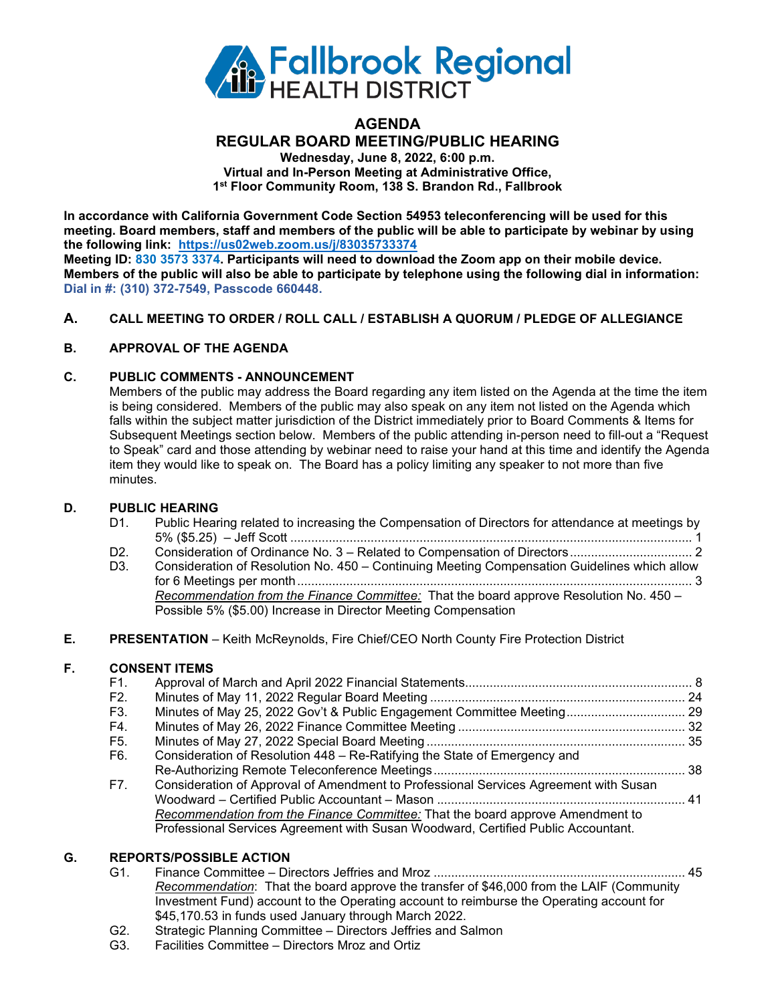

## **AGENDA REGULAR BOARD MEETING/PUBLIC HEARING Wednesday, June 8, 2022, 6:00 p.m. Virtual and In-Person Meeting at Administrative Office, 1st Floor Community Room, 138 S. Brandon Rd., Fallbrook**

**In accordance with California Government Code Section 54953 teleconferencing will be used for this meeting. Board members, staff and members of the public will be able to participate by webinar by using the following link: https://us02web.zoom.us/j/83035733374**

**Meeting ID: 830 3573 3374. Participants will need to download the Zoom app on their mobile device. Members of the public will also be able to participate by telephone using the following dial in information: Dial in #: (310) 372-7549, Passcode 660448.**

## **A. CALL MEETING TO ORDER / ROLL CALL / ESTABLISH A QUORUM / PLEDGE OF ALLEGIANCE**

## **B. APPROVAL OF THE AGENDA**

## **C. PUBLIC COMMENTS - ANNOUNCEMENT**

Members of the public may address the Board regarding any item listed on the Agenda at the time the item is being considered. Members of the public may also speak on any item not listed on the Agenda which falls within the subject matter jurisdiction of the District immediately prior to Board Comments & Items for Subsequent Meetings section below. Members of the public attending in-person need to fill-out a "Request to Speak" card and those attending by webinar need to raise your hand at this time and identify the Agenda item they would like to speak on. The Board has a policy limiting any speaker to not more than five minutes.

#### **D. PUBLIC HEARING**

| D1. | Public Hearing related to increasing the Compensation of Directors for attendance at meetings by |
|-----|--------------------------------------------------------------------------------------------------|
|     |                                                                                                  |

- D2. Consideration of Ordinance No. 3 Related to Compensation of Directors...................................<br>D3. Consideration of Resolution No. 450 Continuing Meeting Compensation Guidelines which allow
- Consideration of Resolution No. 450 Continuing Meeting Compensation Guidelines which allow for 6 Meetings per month................................................................................................................. 3 *Recommendation from the Finance Committee:* That the board approve Resolution No. 450 – Possible 5% (\$5.00) Increase in Director Meeting Compensation

#### **E. PRESENTATION** – Keith McReynolds, Fire Chief/CEO North County Fire Protection District

## **F. CONSENT ITEMS**

| F1.            |                                                                                      |  |
|----------------|--------------------------------------------------------------------------------------|--|
| F2.            |                                                                                      |  |
| F <sub>3</sub> | Minutes of May 25, 2022 Gov't & Public Engagement Committee Meeting 29               |  |
| F4.            |                                                                                      |  |
| F5.            |                                                                                      |  |
| F6.            | Consideration of Resolution 448 - Re-Ratifying the State of Emergency and            |  |
|                |                                                                                      |  |
| F7.            | Consideration of Approval of Amendment to Professional Services Agreement with Susan |  |
|                |                                                                                      |  |
|                | Recommendation from the Finance Committee: That the board approve Amendment to       |  |
|                | Professional Services Agreement with Susan Woodward, Certified Public Accountant.    |  |
|                |                                                                                      |  |

# **G. REPORTS/POSSIBLE ACTION**

- G1. Finance Committee Directors Jeffries and Mroz ........................................................................ 45 *Recommendation*: That the board approve the transfer of \$46,000 from the LAIF (Community Investment Fund) account to the Operating account to reimburse the Operating account for \$45,170.53 in funds used January through March 2022.
- G2. Strategic Planning Committee Directors Jeffries and Salmon
- G3. Facilities Committee Directors Mroz and Ortiz